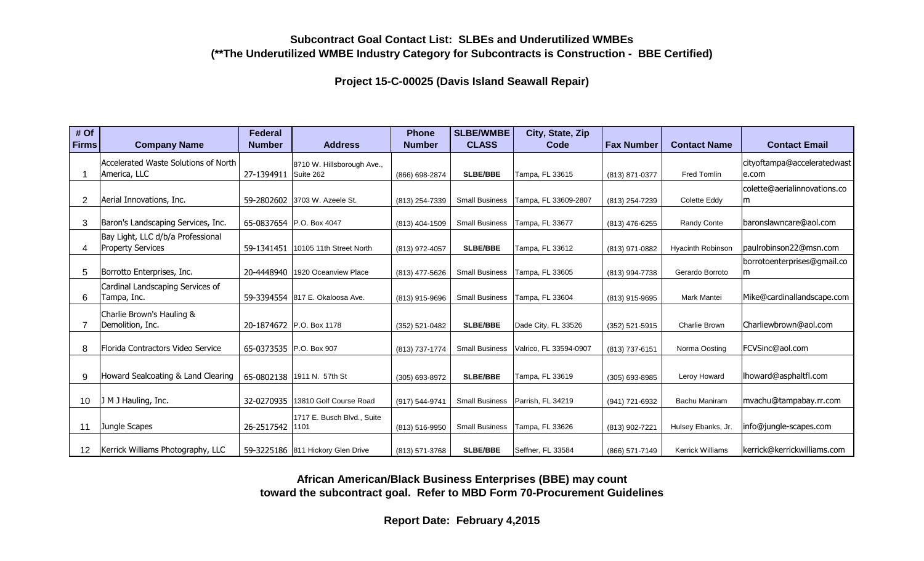## **Subcontract Goal Contact List: SLBEs and Underutilized WMBEs (\*\*The Underutilized WMBE Industry Category for Subcontracts is Construction - BBE Certified)**

**Project 15-C-00025 (Davis Island Seawall Repair)**

| # Of            |                                      | Federal                 |                                   | <b>Phone</b>   | <b>SLBE/WMBE</b>      | City, State, Zip       |                   |                         |                              |
|-----------------|--------------------------------------|-------------------------|-----------------------------------|----------------|-----------------------|------------------------|-------------------|-------------------------|------------------------------|
| <b>Firms</b>    | <b>Company Name</b>                  | <b>Number</b>           | <b>Address</b>                    | <b>Number</b>  | <b>CLASS</b>          | Code                   | <b>Fax Number</b> | <b>Contact Name</b>     | <b>Contact Email</b>         |
|                 | Accelerated Waste Solutions of North |                         | 8710 W. Hillsborough Ave.,        |                |                       |                        |                   |                         | cityoftampa@acceleratedwast  |
|                 | America, LLC                         | 27-1394911 Suite 262    |                                   | (866) 698-2874 | <b>SLBE/BBE</b>       | Tampa, FL 33615        | (813) 871-0377    | <b>Fred Tomlin</b>      | e.com                        |
|                 |                                      |                         |                                   |                |                       |                        |                   |                         | colette@aerialinnovations.co |
| 2               | Aerial Innovations, Inc.             |                         | 59-2802602 3703 W. Azeele St.     | (813) 254-7339 | <b>Small Business</b> | Tampa, FL 33609-2807   | (813) 254-7239    | Colette Eddy            | m                            |
|                 |                                      |                         |                                   |                |                       |                        |                   |                         |                              |
| 3               | Baron's Landscaping Services, Inc.   |                         | 65-0837654 P.O. Box 4047          | (813) 404-1509 | <b>Small Business</b> | Tampa, FL 33677        | (813) 476-6255    | <b>Randy Conte</b>      | baronslawncare@aol.com       |
|                 | Bay Light, LLC d/b/a Professional    |                         |                                   |                |                       |                        |                   |                         |                              |
|                 | <b>Property Services</b>             | 59-1341451              | 10105 11th Street North           | (813) 972-4057 | <b>SLBE/BBE</b>       | Tampa, FL 33612        | (813) 971-0882    | Hyacinth Robinson       | paulrobinson22@msn.com       |
|                 |                                      |                         |                                   |                |                       |                        |                   |                         | borrotoenterprises@gmail.co  |
| 5               | Borrotto Enterprises, Inc.           |                         | 20-4448940   1920 Oceanview Place | (813) 477-5626 | <b>Small Business</b> | Tampa, FL 33605        | (813) 994-7738    | Gerardo Borroto         | m                            |
|                 | Cardinal Landscaping Services of     |                         |                                   |                |                       |                        |                   |                         |                              |
| 6               | Tampa, Inc.                          |                         | 59-3394554 817 E. Okaloosa Ave.   | (813) 915-9696 | <b>Small Business</b> | Tampa, FL 33604        | (813) 915-9695    | Mark Mantei             | Mike@cardinallandscape.com   |
|                 | Charlie Brown's Hauling &            |                         |                                   |                |                       |                        |                   |                         |                              |
|                 | Demolition, Inc.                     |                         | 20-1874672 P.O. Box 1178          | (352) 521-0482 | <b>SLBE/BBE</b>       | Dade City, FL 33526    | (352) 521-5915    | Charlie Brown           | Charliewbrown@aol.com        |
|                 |                                      |                         |                                   |                |                       |                        |                   |                         |                              |
| 8               | Florida Contractors Video Service    | 65-0373535 P.O. Box 907 |                                   | (813) 737-1774 | <b>Small Business</b> | Valrico, FL 33594-0907 | (813) 737-6151    | Norma Oosting           | FCVSinc@aol.com              |
|                 |                                      |                         |                                   |                |                       |                        |                   |                         |                              |
| 9               | Howard Sealcoating & Land Clearing   |                         | 65-0802138 1911 N. 57th St        | (305) 693-8972 | <b>SLBE/BBE</b>       | Tampa, FL 33619        | (305) 693-8985    | Leroy Howard            | lhoward@asphaltfl.com        |
|                 |                                      |                         |                                   |                |                       |                        |                   |                         |                              |
| 10              | J M J Hauling, Inc.                  | 32-0270935              | 13810 Golf Course Road            | (917) 544-9741 | <b>Small Business</b> | Parrish, FL 34219      | (941) 721-6932    | Bachu Maniram           | mvachu@tampabay.rr.com       |
|                 |                                      |                         | 1717 E. Busch Blvd., Suite        |                |                       |                        |                   |                         |                              |
| 11              | Jungle Scapes                        | 26-2517542              | 1101                              | (813) 516-9950 | <b>Small Business</b> | Tampa, FL 33626        | (813) 902-7221    | Hulsey Ebanks, Jr.      | info@jungle-scapes.com       |
|                 |                                      |                         |                                   |                |                       |                        |                   |                         |                              |
| 12 <sup>°</sup> | Kerrick Williams Photography, LLC    |                         | 59-3225186 811 Hickory Glen Drive | (813) 571-3768 | <b>SLBE/BBE</b>       | Seffner, FL 33584      | (866) 571-7149    | <b>Kerrick Williams</b> | kerrick@kerrickwilliams.com  |

**African American/Black Business Enterprises (BBE) may count toward the subcontract goal. Refer to MBD Form 70-Procurement Guidelines**

**Report Date: February 4,2015**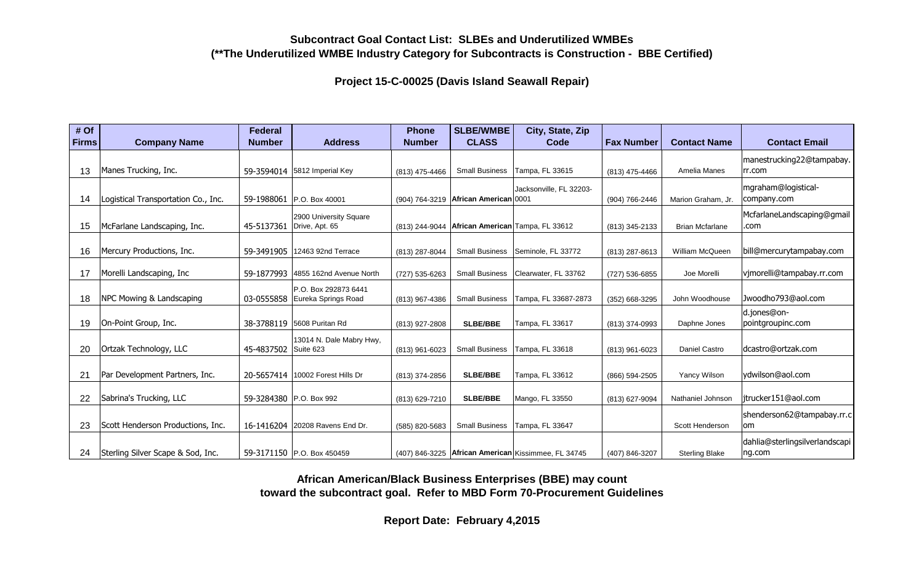## **Subcontract Goal Contact List: SLBEs and Underutilized WMBEs (\*\*The Underutilized WMBE Industry Category for Subcontracts is Construction - BBE Certified)**

**Project 15-C-00025 (Davis Island Seawall Repair)**

| # Of         |                                     | Federal       |                                    | <b>Phone</b>   | <b>SLBE/WMBE</b>                       | City, State, Zip                                      |                   |                        |                                |
|--------------|-------------------------------------|---------------|------------------------------------|----------------|----------------------------------------|-------------------------------------------------------|-------------------|------------------------|--------------------------------|
| <b>Firms</b> | <b>Company Name</b>                 | <b>Number</b> | <b>Address</b>                     | <b>Number</b>  | <b>CLASS</b>                           | Code                                                  | <b>Fax Number</b> | <b>Contact Name</b>    | <b>Contact Email</b>           |
|              |                                     |               |                                    |                |                                        |                                                       |                   |                        | manestrucking22@tampabay.      |
| 13           | Manes Trucking, Inc.                |               | 59-3594014 5812 Imperial Key       | (813) 475-4466 | <b>Small Business</b>                  | Tampa, FL 33615                                       | (813) 475-4466    | Amelia Manes           | rr.com                         |
|              |                                     |               |                                    |                |                                        | Jacksonville, FL 32203-                               |                   |                        | mgraham@logistical-            |
| 14           | Logistical Transportation Co., Inc. |               | 59-1988061 P.O. Box 40001          |                | (904) 764-3219   African American 0001 |                                                       | (904) 766-2446    | Marion Graham, Jr.     | company.com                    |
|              |                                     |               | 2900 University Square             |                |                                        |                                                       |                   |                        | McfarlaneLandscaping@gmail     |
| 15           | McFarlane Landscaping, Inc.         | 45-5137361    | Drive, Apt. 65                     | (813) 244-9044 |                                        | African American Tampa, FL 33612                      | (813) 345-2133    | <b>Brian Mcfarlane</b> | .com                           |
|              |                                     |               |                                    |                |                                        |                                                       |                   |                        |                                |
| 16           | Mercury Productions, Inc.           | 59-3491905    | 12463 92nd Terrace                 | (813) 287-8044 | <b>Small Business</b>                  | Seminole, FL 33772                                    | (813) 287-8613    | William McQueen        | bill@mercurytampabay.com       |
|              |                                     |               |                                    |                |                                        |                                                       |                   |                        |                                |
| 17           | Morelli Landscaping, Inc.           | 59-1877993    | 4855 162nd Avenue North            | (727) 535-6263 | <b>Small Business</b>                  | Clearwater, FL 33762                                  | (727) 536-6855    | Joe Morelli            | vjmorelli@tampabay.rr.com      |
|              |                                     |               | P.O. Box 292873 6441               |                |                                        |                                                       |                   |                        |                                |
| 18           | NPC Mowing & Landscaping            | 03-0555858    | Eureka Springs Road                | (813) 967-4386 | <b>Small Business</b>                  | Tampa, FL 33687-2873                                  | (352) 668-3295    | John Woodhouse         | Jwoodho793@aol.com             |
|              |                                     |               |                                    |                |                                        |                                                       |                   |                        | d.jones@on-                    |
| 19           | On-Point Group, Inc.                |               | 38-3788119 5608 Puritan Rd         | (813) 927-2808 | <b>SLBE/BBE</b>                        | Tampa, FL 33617                                       | (813) 374-0993    | Daphne Jones           | pointgroupinc.com              |
|              |                                     |               | 13014 N. Dale Mabry Hwy,           |                |                                        |                                                       |                   |                        |                                |
| 20           | Ortzak Technology, LLC              | 45-4837502    | Suite 623                          | (813) 961-6023 | <b>Small Business</b>                  | Tampa, FL 33618                                       | (813) 961-6023    | <b>Daniel Castro</b>   | dcastro@ortzak.com             |
|              |                                     |               |                                    |                |                                        |                                                       |                   |                        |                                |
| 21           | Par Development Partners, Inc.      |               | 20-5657414   10002 Forest Hills Dr | (813) 374-2856 | <b>SLBE/BBE</b>                        | Tampa, FL 33612                                       | (866) 594-2505    | Yancy Wilson           | ydwilson@aol.com               |
|              |                                     |               |                                    |                |                                        |                                                       |                   |                        |                                |
| 22           | Sabrina's Trucking, LLC             |               | 59-3284380 P.O. Box 992            | (813) 629-7210 | <b>SLBE/BBE</b>                        | Mango, FL 33550                                       | (813) 627-9094    | Nathaniel Johnson      | jtrucker151@aol.com            |
|              |                                     |               |                                    |                |                                        |                                                       |                   |                        | shenderson62@tampabay.rr.c     |
| 23           | Scott Henderson Productions, Inc.   |               | 16-1416204 20208 Ravens End Dr.    | (585) 820-5683 | <b>Small Business</b>                  | Tampa, FL 33647                                       |                   | Scott Henderson        | om                             |
|              |                                     |               |                                    |                |                                        |                                                       |                   |                        | dahlia@sterlingsilverlandscapi |
| 24           | Sterling Silver Scape & Sod, Inc.   |               | 59-3171150 P.O. Box 450459         |                |                                        | (407) 846-3225   African American Kissimmee, FL 34745 | (407) 846-3207    | <b>Sterling Blake</b>  | ng.com                         |

**African American/Black Business Enterprises (BBE) may count toward the subcontract goal. Refer to MBD Form 70-Procurement Guidelines**

**Report Date: February 4,2015**